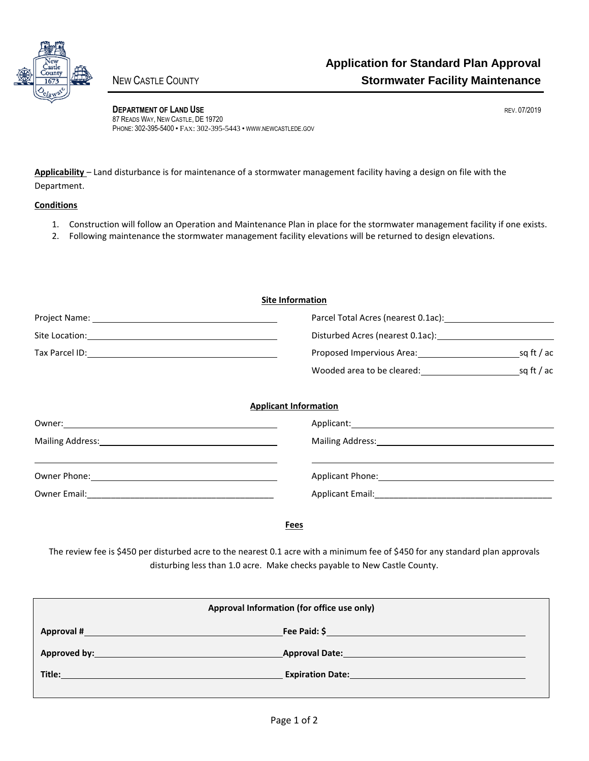

**DEPARTMENT OF LAND USE REV. 07/2019** 87 READS WAY, NEW CASTLE, DE 19720 PHONE: 302-395-5400 • FAX: 302-395-5443 • WWW.NEWCASTLEDE.GOV

**Applicability** – Land disturbance is for maintenance of a stormwater management facility having a design on file with the Department.

## **Conditions**

- 1. Construction will follow an Operation and Maintenance Plan in place for the stormwater management facility if one exists.
- 2. Following maintenance the stormwater management facility elevations will be returned to design elevations.

| <b>Site Information</b> |                                                                  |            |  |
|-------------------------|------------------------------------------------------------------|------------|--|
|                         | Parcel Total Acres (nearest 0.1ac): 1988 1999                    |            |  |
|                         | Disturbed Acres (nearest 0.1ac): Material Acres (nearest 0.1ac): |            |  |
|                         | Proposed Impervious Area: 1988 1999 1999                         | sq ft / ac |  |
|                         |                                                                  |            |  |
|                         | <b>Applicant Information</b>                                     |            |  |
|                         |                                                                  |            |  |
|                         |                                                                  |            |  |
|                         |                                                                  |            |  |
| Owner Email:            | <b>Applicant Email:</b>                                          |            |  |

**Fees**

The review fee is \$450 per disturbed acre to the nearest 0.1 acre with a minimum fee of \$450 for any standard plan approvals disturbing less than 1.0 acre. Make checks payable to New Castle County.

| Approval Information (for office use only) |                                          |  |  |
|--------------------------------------------|------------------------------------------|--|--|
| Approval #                                 | Fee Paid: \$                             |  |  |
|                                            | <b>Approval Date:</b> Approval Date:     |  |  |
| Title:                                     | <b>Expiration Date: Expiration Date:</b> |  |  |
|                                            |                                          |  |  |